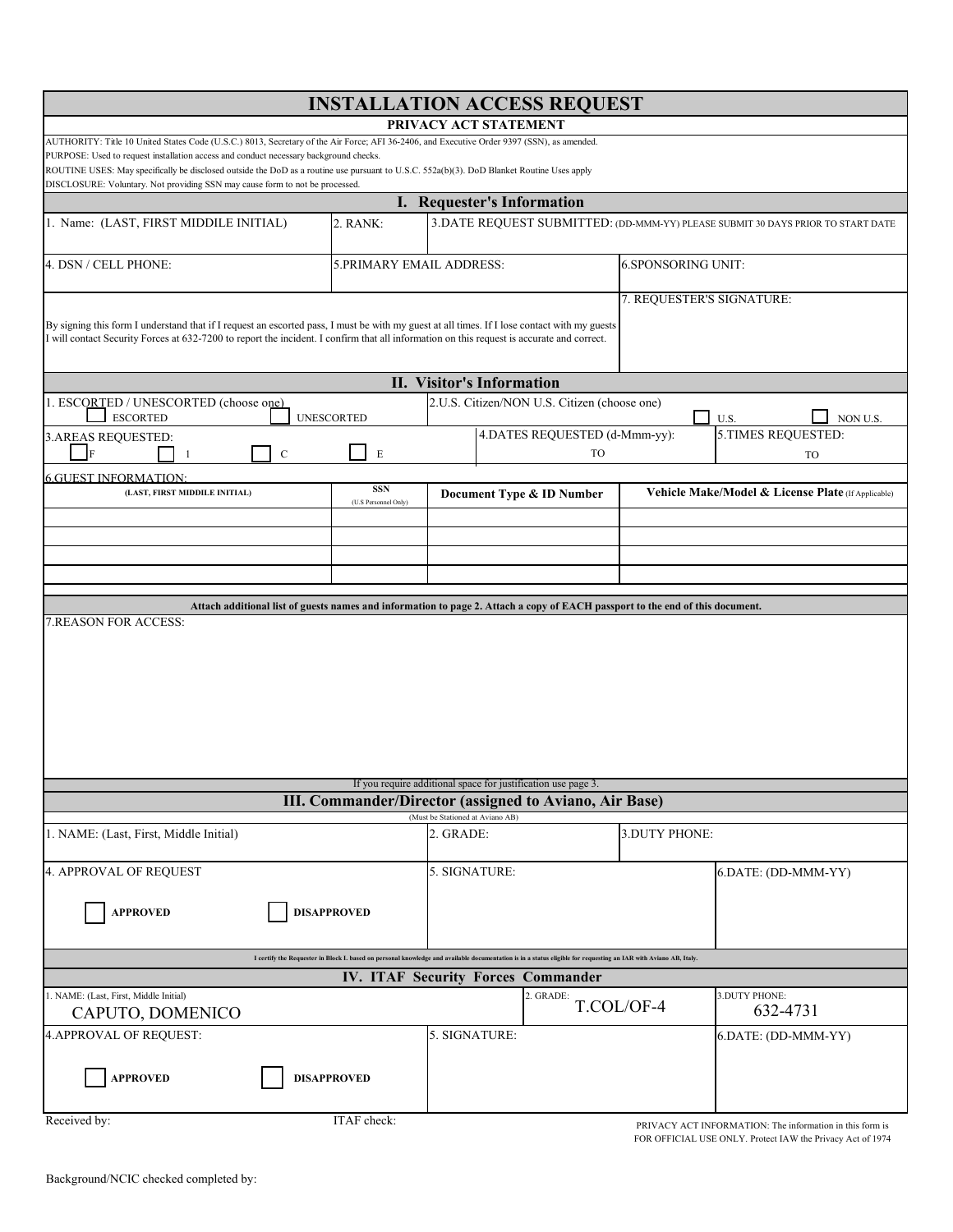| <b>INSTALLATION ACCESS REQUEST</b>                                                                                                                                                                                                                                                         |                                    |                                                                                  |                               |                                                    |                                                          |  |  |  |  |
|--------------------------------------------------------------------------------------------------------------------------------------------------------------------------------------------------------------------------------------------------------------------------------------------|------------------------------------|----------------------------------------------------------------------------------|-------------------------------|----------------------------------------------------|----------------------------------------------------------|--|--|--|--|
| PRIVACY ACT STATEMENT                                                                                                                                                                                                                                                                      |                                    |                                                                                  |                               |                                                    |                                                          |  |  |  |  |
| AUTHORITY: Title 10 United States Code (U.S.C.) 8013, Secretary of the Air Force; AFI 36-2406, and Executive Order 9397 (SSN), as amended.<br>PURPOSE: Used to request installation access and conduct necessary background checks.                                                        |                                    |                                                                                  |                               |                                                    |                                                          |  |  |  |  |
| ROUTINE USES: May specifically be disclosed outside the DoD as a routine use pursuant to U.S.C. 552a(b)(3). DoD Blanket Routine Uses apply<br>DISCLOSURE: Voluntary. Not providing SSN may cause form to not be processed.                                                                 |                                    |                                                                                  |                               |                                                    |                                                          |  |  |  |  |
| I. Requester's Information                                                                                                                                                                                                                                                                 |                                    |                                                                                  |                               |                                                    |                                                          |  |  |  |  |
| 1. Name: (LAST, FIRST MIDDILE INITIAL)<br>2. RANK:                                                                                                                                                                                                                                         |                                    | 3. DATE REQUEST SUBMITTED: (DD-MMM-YY) PLEASE SUBMIT 30 DAYS PRIOR TO START DATE |                               |                                                    |                                                          |  |  |  |  |
| 4. DSN / CELL PHONE:<br>5.PRIMARY EMAIL ADDRESS:                                                                                                                                                                                                                                           |                                    |                                                                                  |                               | <b>6.SPONSORING UNIT:</b>                          |                                                          |  |  |  |  |
|                                                                                                                                                                                                                                                                                            |                                    |                                                                                  |                               | 7. REQUESTER'S SIGNATURE:                          |                                                          |  |  |  |  |
| By signing this form I understand that if I request an escorted pass, I must be with my guest at all times. If I lose contact with my guests<br>I will contact Security Forces at 632-7200 to report the incident. I confirm that all information on this request is accurate and correct. |                                    |                                                                                  |                               |                                                    |                                                          |  |  |  |  |
| <b>II. Visitor's Information</b>                                                                                                                                                                                                                                                           |                                    |                                                                                  |                               |                                                    |                                                          |  |  |  |  |
| 1. ESCORTED / UNESCORTED (choose one)<br><b>ESCORTED</b><br><b>UNESCORTED</b>                                                                                                                                                                                                              |                                    | 2.U.S. Citizen/NON U.S. Citizen (choose one)<br>NON U.S.<br>U.S.                 |                               |                                                    |                                                          |  |  |  |  |
| 3.AREAS REQUESTED:                                                                                                                                                                                                                                                                         |                                    |                                                                                  | 4.DATES REQUESTED (d-Mmm-yy): |                                                    | 5.TIMES REQUESTED:                                       |  |  |  |  |
| $\mathbf F$<br>$\mathbf C$<br>1                                                                                                                                                                                                                                                            | E                                  |                                                                                  | TO                            |                                                    | TO                                                       |  |  |  |  |
| <b>6.GUEST INFORMATION:</b>                                                                                                                                                                                                                                                                |                                    |                                                                                  |                               |                                                    |                                                          |  |  |  |  |
| (LAST, FIRST MIDDILE INITIAL)                                                                                                                                                                                                                                                              | <b>SSN</b><br>(U.S Personnel Only) | Document Type & ID Number                                                        |                               | Vehicle Make/Model & License Plate (If Applicable) |                                                          |  |  |  |  |
|                                                                                                                                                                                                                                                                                            |                                    |                                                                                  |                               |                                                    |                                                          |  |  |  |  |
|                                                                                                                                                                                                                                                                                            |                                    |                                                                                  |                               |                                                    |                                                          |  |  |  |  |
|                                                                                                                                                                                                                                                                                            |                                    |                                                                                  |                               |                                                    |                                                          |  |  |  |  |
|                                                                                                                                                                                                                                                                                            |                                    |                                                                                  |                               |                                                    |                                                          |  |  |  |  |
| Attach additional list of guests names and information to page 2. Attach a copy of EACH passport to the end of this document.                                                                                                                                                              |                                    |                                                                                  |                               |                                                    |                                                          |  |  |  |  |
| 7.REASON FOR ACCESS:                                                                                                                                                                                                                                                                       |                                    |                                                                                  |                               |                                                    |                                                          |  |  |  |  |
|                                                                                                                                                                                                                                                                                            |                                    |                                                                                  |                               |                                                    |                                                          |  |  |  |  |
|                                                                                                                                                                                                                                                                                            |                                    |                                                                                  |                               |                                                    |                                                          |  |  |  |  |
|                                                                                                                                                                                                                                                                                            |                                    |                                                                                  |                               |                                                    |                                                          |  |  |  |  |
|                                                                                                                                                                                                                                                                                            |                                    |                                                                                  |                               |                                                    |                                                          |  |  |  |  |
|                                                                                                                                                                                                                                                                                            |                                    |                                                                                  |                               |                                                    |                                                          |  |  |  |  |
|                                                                                                                                                                                                                                                                                            |                                    |                                                                                  |                               |                                                    |                                                          |  |  |  |  |
|                                                                                                                                                                                                                                                                                            |                                    |                                                                                  |                               |                                                    |                                                          |  |  |  |  |
| If you require additional space for justification use page 3.                                                                                                                                                                                                                              |                                    |                                                                                  |                               |                                                    |                                                          |  |  |  |  |
| <b>III. Commander/Director (assigned to Aviano, Air Base)</b><br>(Must be Stationed at Aviano AB)                                                                                                                                                                                          |                                    |                                                                                  |                               |                                                    |                                                          |  |  |  |  |
| 1. NAME: (Last, First, Middle Initial)                                                                                                                                                                                                                                                     |                                    | 2. GRADE:                                                                        |                               | 3.DUTY PHONE:                                      |                                                          |  |  |  |  |
| 4. APPROVAL OF REQUEST                                                                                                                                                                                                                                                                     |                                    | 5. SIGNATURE:                                                                    |                               |                                                    | 6.DATE: (DD-MMM-YY)                                      |  |  |  |  |
| <b>APPROVED</b>                                                                                                                                                                                                                                                                            | <b>DISAPPROVED</b>                 |                                                                                  |                               |                                                    |                                                          |  |  |  |  |
|                                                                                                                                                                                                                                                                                            |                                    |                                                                                  |                               |                                                    |                                                          |  |  |  |  |
| I certify the Requester in Block I. based on personal knowledge and available documentation is in a status eligible for requesting an IAR with Aviano AB, Italy.                                                                                                                           |                                    |                                                                                  |                               |                                                    |                                                          |  |  |  |  |
| IV. ITAF Security Forces Commander                                                                                                                                                                                                                                                         |                                    |                                                                                  |                               |                                                    |                                                          |  |  |  |  |
| 1. NAME: (Last, First, Middle Initial)<br>CAPUTO, DOMENICO                                                                                                                                                                                                                                 |                                    |                                                                                  | 2. GRADE:                     | T.COL/OF-4                                         | 3.DUTY PHONE:<br>632-4731                                |  |  |  |  |
| 4.APPROVAL OF REQUEST:                                                                                                                                                                                                                                                                     |                                    | 5. SIGNATURE:                                                                    |                               |                                                    | 6.DATE: (DD-MMM-YY)                                      |  |  |  |  |
|                                                                                                                                                                                                                                                                                            |                                    |                                                                                  |                               |                                                    |                                                          |  |  |  |  |
| <b>APPROVED</b>                                                                                                                                                                                                                                                                            | <b>DISAPPROVED</b>                 |                                                                                  |                               |                                                    |                                                          |  |  |  |  |
| Received by:                                                                                                                                                                                                                                                                               | ITAF check:                        |                                                                                  |                               |                                                    | PRIVACY ACT INFORMATION: The information in this form is |  |  |  |  |

Background/NCIC checked completed by: